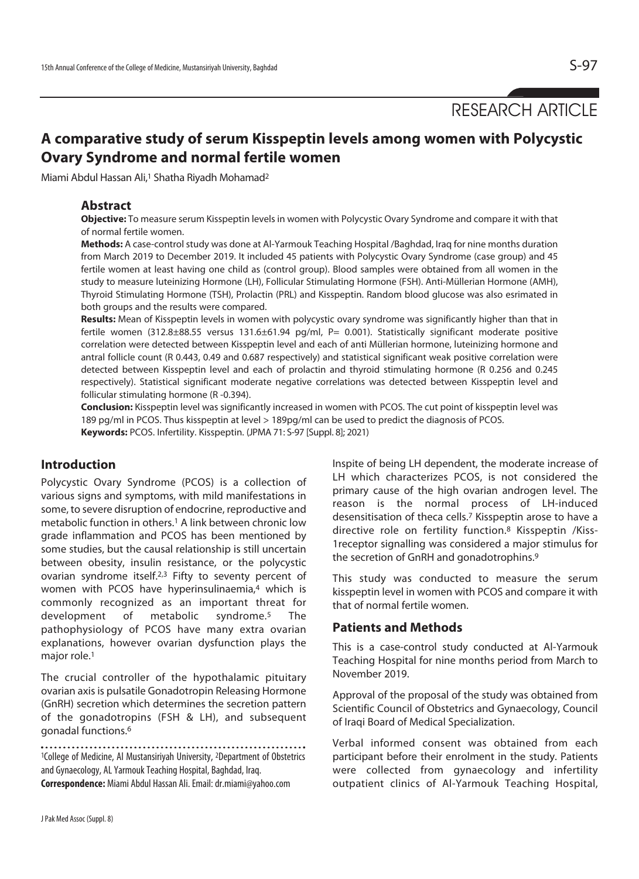RESEARCH ARTICLE

# **A comparative study of serum Kisspeptin levels among women with Polycystic Ovary Syndrome and normal fertile women**

Miami Abdul Hassan Ali,<sup>1</sup> Shatha Riyadh Mohamad<sup>2</sup>

#### **Abstract**

**Objective:** To measure serum Kisspeptin levels in women with Polycystic Ovary Syndrome and compare it with that of normal fertile women.

**Methods:** A case-control study was done at Al-Yarmouk Teaching Hospital /Baghdad, Iraq for nine months duration from March 2019 to December 2019. It included 45 patients with Polycystic Ovary Syndrome (case group) and 45 fertile women at least having one child as (control group). Blood samples were obtained from all women in the study to measure luteinizing Hormone (LH), Follicular Stimulating Hormone (FSH). Anti-Müllerian Hormone (AMH), Thyroid Stimulating Hormone (TSH), Prolactin (PRL) and Kisspeptin. Random blood glucose was also esrimated in both groups and the results were compared.

**Results:** Mean of Kisspeptin levels in women with polycystic ovary syndrome was significantly higher than that in fertile women (312.8±88.55 versus 131.6±61.94 pg/ml, P= 0.001). Statistically significant moderate positive correlation were detected between Kisspeptin level and each of anti Müllerian hormone, luteinizing hormone and antral follicle count (R 0.443, 0.49 and 0.687 respectively) and statistical significant weak positive correlation were detected between Kisspeptin level and each of prolactin and thyroid stimulating hormone (R 0.256 and 0.245 respectively). Statistical significant moderate negative correlations was detected between Kisspeptin level and follicular stimulating hormone (R -0.394).

**Conclusion:** Kisspeptin level was significantly increased in women with PCOS. The cut point of kisspeptin level was 189 pg/ml in PCOS. Thus kisspeptin at level > 189pg/ml can be used to predict the diagnosis of PCOS. **Keywords:** PCOS. Infertility. Kisspeptin. (JPMA 71: S-97 [Suppl. 8]; 2021)

# **Introduction**

Polycystic Ovary Syndrome (PCOS) is a collection of various signs and symptoms, with mild manifestations in some, to severe disruption of endocrine, reproductive and metabolic function in others.<sup>1</sup> A link between chronic low grade inflammation and PCOS has been mentioned by some studies, but the causal relationship is still uncertain between obesity, insulin resistance, or the polycystic ovarian syndrome itself.2,3 Fifty to seventy percent of women with PCOS have hyperinsulinaemia,<sup>4</sup> which is commonly recognized as an important threat for development of metabolic syndrome.5 The pathophysiology of PCOS have many extra ovarian explanations, however ovarian dysfunction plays the major role.<sup>1</sup>

The crucial controller of the hypothalamic pituitary ovarian axis is pulsatile Gonadotropin Releasing Hormone (GnRH) secretion which determines the secretion pattern of the gonadotropins (FSH & LH), and subsequent gonadal functions.6

<sup>1</sup>College of Medicine, Al Mustansiriyah University, <sup>2</sup>Department of Obstetrics and Gynaecology, AL Yarmouk Teaching Hospital, Baghdad, Iraq. **Correspondence:** Miami Abdul Hassan Ali. Email: dr.miami@yahoo.com

Inspite of being LH dependent, the moderate increase of LH which characterizes PCOS, is not considered the primary cause of the high ovarian androgen level. The reason is the normal process of LH-induced desensitisation of theca cells.7 Kisspeptin arose to have a directive role on fertility function.8 Kisspeptin /Kiss-1receptor signalling was considered a major stimulus for the secretion of GnRH and gonadotrophins.9

This study was conducted to measure the serum kisspeptin level in women with PCOS and compare it with that of normal fertile women.

### **Patients and Methods**

This is a case-control study conducted at Al-Yarmouk Teaching Hospital for nine months period from March to November 2019.

Approval of the proposal of the study was obtained from Scientific Council of Obstetrics and Gynaecology, Council of Iraqi Board of Medical Specialization.

Verbal informed consent was obtained from each participant before their enrolment in the study. Patients were collected from gynaecology and infertility outpatient clinics of Al-Yarmouk Teaching Hospital,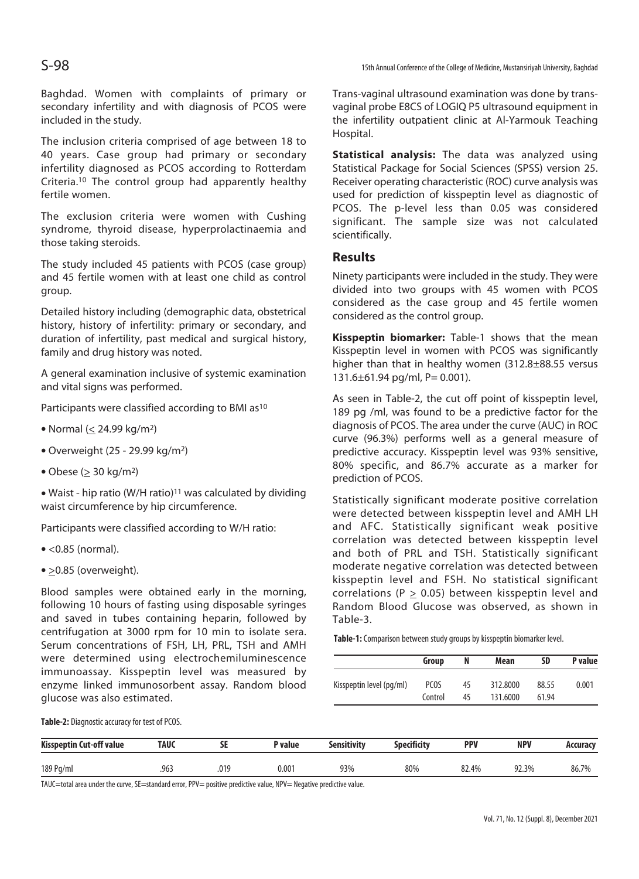S-98 15th Annual Conference of the College of Medicine, Mustansiriyah University, Baghdad

Baghdad. Women with complaints of primary or secondary infertility and with diagnosis of PCOS were included in the study.

The inclusion criteria comprised of age between 18 to 40 years. Case group had primary or secondary infertility diagnosed as PCOS according to Rotterdam Criteria.10 The control group had apparently healthy fertile women.

The exclusion criteria were women with Cushing syndrome, thyroid disease, hyperprolactinaemia and those taking steroids.

The study included 45 patients with PCOS (case group) and 45 fertile women with at least one child as control group.

Detailed history including (demographic data, obstetrical history, history of infertility: primary or secondary, and duration of infertility, past medical and surgical history, family and drug history was noted.

A general examination inclusive of systemic examination and vital signs was performed.

Participants were classified according to BMI as<sup>10</sup>

- $\bullet$  Normal (< 24.99 kg/m<sup>2</sup>)
- $\bullet$  Overweight (25 29.99 kg/m<sup>2</sup>)
- $\bullet$  Obese ( $>$  30 kg/m<sup>2</sup>)

• Waist - hip ratio (W/H ratio)<sup>11</sup> was calculated by dividing waist circumference by hip circumference.

Participants were classified according to W/H ratio:

- $\bullet$  <0.85 (normal).
- $\bullet$  >0.85 (overweight).

Blood samples were obtained early in the morning, following 10 hours of fasting using disposable syringes and saved in tubes containing heparin, followed by centrifugation at 3000 rpm for 10 min to isolate sera. Serum concentrations of FSH, LH, PRL, TSH and AMH were determined using electrochemiluminescence immunoassay. Kisspeptin level was measured by enzyme linked immunosorbent assay. Random blood glucose was also estimated.

Trans-vaginal ultrasound examination was done by transvaginal probe E8CS of LOGIQ P5 ultrasound equipment in the infertility outpatient clinic at Al-Yarmouk Teaching Hospital.

**Statistical analysis:** The data was analyzed using Statistical Package for Social Sciences (SPSS) version 25. Receiver operating characteristic (ROC) curve analysis was used for prediction of kisspeptin level as diagnostic of PCOS. The p-level less than 0.05 was considered significant. The sample size was not calculated scientifically.

### **Results**

Ninety participants were included in the study. They were divided into two groups with 45 women with PCOS considered as the case group and 45 fertile women considered as the control group.

**Kisspeptin biomarker:** Table-1 shows that the mean Kisspeptin level in women with PCOS was significantly higher than that in healthy women (312.8±88.55 versus 131.6±61.94 pg/ml, P= 0.001).

As seen in Table-2, the cut off point of kisspeptin level, 189 pg /ml, was found to be a predictive factor for the diagnosis of PCOS. The area under the curve (AUC) in ROC curve (96.3%) performs well as a general measure of predictive accuracy. Kisspeptin level was 93% sensitive, 80% specific, and 86.7% accurate as a marker for prediction of PCOS.

Statistically significant moderate positive correlation were detected between kisspeptin level and AMH LH and AFC. Statistically significant weak positive correlation was detected between kisspeptin level and both of PRL and TSH. Statistically significant moderate negative correlation was detected between kisspeptin level and FSH. No statistical significant correlations ( $P > 0.05$ ) between kisspeptin level and Random Blood Glucose was observed, as shown in Table-3.

**Table-1:** Comparison between study groups by kisspeptin biomarker level.

|                          | Group       | N  | Mean     | SD    | P value |
|--------------------------|-------------|----|----------|-------|---------|
| Kisspeptin level (pq/ml) | <b>PCOS</b> | 45 | 312,8000 | 88.55 | 0.001   |
|                          | Control     | 45 | 131.6000 | 61.94 |         |

**Table-2:** Diagnostic accuracy for test of PCOS.

| <b>Kisspeptin Cut-off value</b> | TAUC | --<br>- | P value        | Sensitivity | Specificity | <b>PPV</b> | <b>NPV</b> | Accuracy |
|---------------------------------|------|---------|----------------|-------------|-------------|------------|------------|----------|
| 189 Pg/ml                       | .963 | .019    | $0.00^{\circ}$ | 93%         | 80%         | 82.4%      | 92.3%      | 86.7%    |

TAUC=total area under the curve, SE=standard error, PPV= positive predictive value, NPV= Negative predictive value.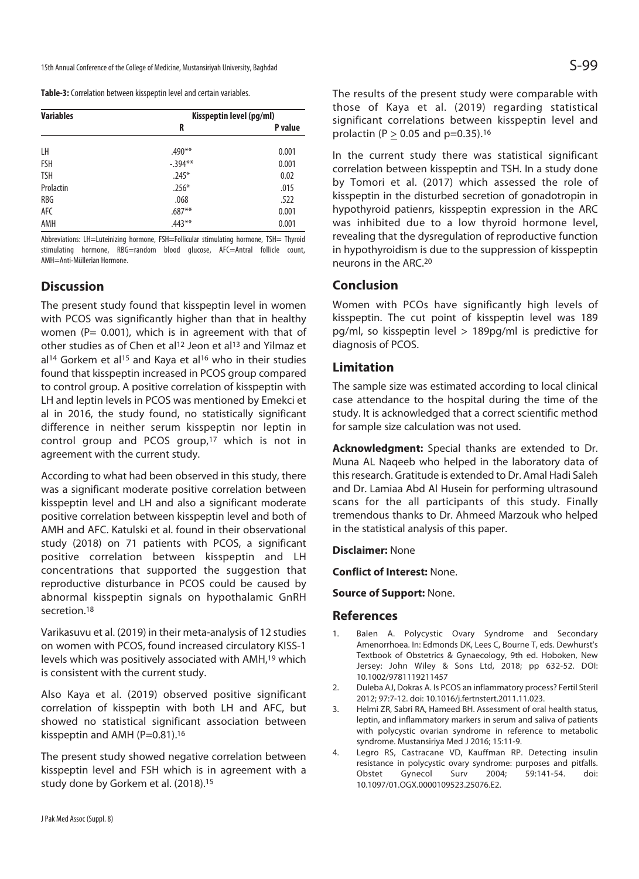| <b>Variables</b> | Kisspeptin level (pg/ml) |         |  |  |  |
|------------------|--------------------------|---------|--|--|--|
|                  | R                        | P value |  |  |  |
| LH               | $.490**$                 | 0.001   |  |  |  |
| <b>FSH</b>       | $-.394***$               | 0.001   |  |  |  |
| <b>TSH</b>       | $.245*$                  | 0.02    |  |  |  |
| Prolactin        | $.256*$                  | .015    |  |  |  |
| <b>RBG</b>       | .068                     | .522    |  |  |  |
| AFC              | $.687**$                 | 0.001   |  |  |  |
| AMH              | $.443**$                 | 0.001   |  |  |  |

Abbreviations: LH=Luteinizing hormone, FSH=Follicular stimulating hormone, TSH= Thyroid stimulating hormone, RBG=random blood glucose, AFC=Antral follicle count, AMH=Anti-Müllerian Hormone.

# **Discussion**

The present study found that kisspeptin level in women with PCOS was significantly higher than that in healthy women ( $P = 0.001$ ), which is in agreement with that of other studies as of Chen et al<sup>12</sup> Jeon et al<sup>13</sup> and Yilmaz et al<sup>14</sup> Gorkem et al<sup>15</sup> and Kaya et al<sup>16</sup> who in their studies found that kisspeptin increased in PCOS group compared to control group. A positive correlation of kisspeptin with LH and leptin levels in PCOS was mentioned by Emekci et al in 2016, the study found, no statistically significant difference in neither serum kisspeptin nor leptin in control group and PCOS group,17 which is not in agreement with the current study.

According to what had been observed in this study, there was a significant moderate positive correlation between kisspeptin level and LH and also a significant moderate positive correlation between kisspeptin level and both of AMH and AFC. Katulski et al. found in their observational study (2018) on 71 patients with PCOS, a significant positive correlation between kisspeptin and LH concentrations that supported the suggestion that reproductive disturbance in PCOS could be caused by abnormal kisspeptin signals on hypothalamic GnRH secretion 18

Varikasuvu et al. (2019) in their meta-analysis of 12 studies on women with PCOS, found increased circulatory KISS-1 levels which was positively associated with AMH,19 which is consistent with the current study.

Also Kaya et al. (2019) observed positive significant correlation of kisspeptin with both LH and AFC, but showed no statistical significant association between kisspeptin and AMH ( $P=0.81$ ).<sup>16</sup>

The present study showed negative correlation between kisspeptin level and FSH which is in agreement with a study done by Gorkem et al. (2018).15

The results of the present study were comparable with those of Kaya et al. (2019) regarding statistical significant correlations between kisspeptin level and prolactin ( $P \ge 0.05$  and p=0.35).<sup>16</sup>

In the current study there was statistical significant correlation between kisspeptin and TSH. In a study done by Tomori et al. (2017) which assessed the role of kisspeptin in the disturbed secretion of gonadotropin in hypothyroid patienrs, kisspeptin expression in the ARC was inhibited due to a low thyroid hormone level, revealing that the dysregulation of reproductive function in hypothyroidism is due to the suppression of kisspeptin neurons in the ARC.20

## **Conclusion**

Women with PCOs have significantly high levels of kisspeptin. The cut point of kisspeptin level was 189 pg/ml, so kisspeptin level > 189pg/ml is predictive for diagnosis of PCOS.

### **Limitation**

The sample size was estimated according to local clinical case attendance to the hospital during the time of the study. It is acknowledged that a correct scientific method for sample size calculation was not used.

**Acknowledgment:** Special thanks are extended to Dr. Muna AL Naqeeb who helped in the laboratory data of this research. Gratitude is extended to Dr. Amal Hadi Saleh and Dr. Lamiaa Abd Al Husein for performing ultrasound scans for the all participants of this study. Finally tremendous thanks to Dr. Ahmeed Marzouk who helped in the statistical analysis of this paper.

#### **Disclaimer:** None

**Conflict of Interest:** None.

**Source of Support:** None.

#### **References**

- 1. Balen A. Polycystic Ovary Syndrome and Secondary Amenorrhoea. In: Edmonds DK, Lees C, Bourne T, eds. Dewhurst's Textbook of Obstetrics & Gynaecology, 9th ed. Hoboken, New Jersey: John Wiley & Sons Ltd, 2018; pp 632-52. DOI: 10.1002/9781119211457
- 2. Duleba AJ, Dokras A. Is PCOS an inflammatory process? Fertil Steril 2012; 97:7-12. doi: 10.1016/j.fertnstert.2011.11.023.
- 3. Helmi ZR, Sabri RA, Hameed BH. Assessment of oral health status, leptin, and inflammatory markers in serum and saliva of patients with polycystic ovarian syndrome in reference to metabolic syndrome. Mustansiriya Med J 2016; 15:11-9.
- 4. Legro RS, Castracane VD, Kauffman RP. Detecting insulin resistance in polycystic ovary syndrome: purposes and pitfalls. Obstet Gynecol Surv 2004; 59:141-54. doi: 10.1097/01.OGX.0000109523.25076.E2.